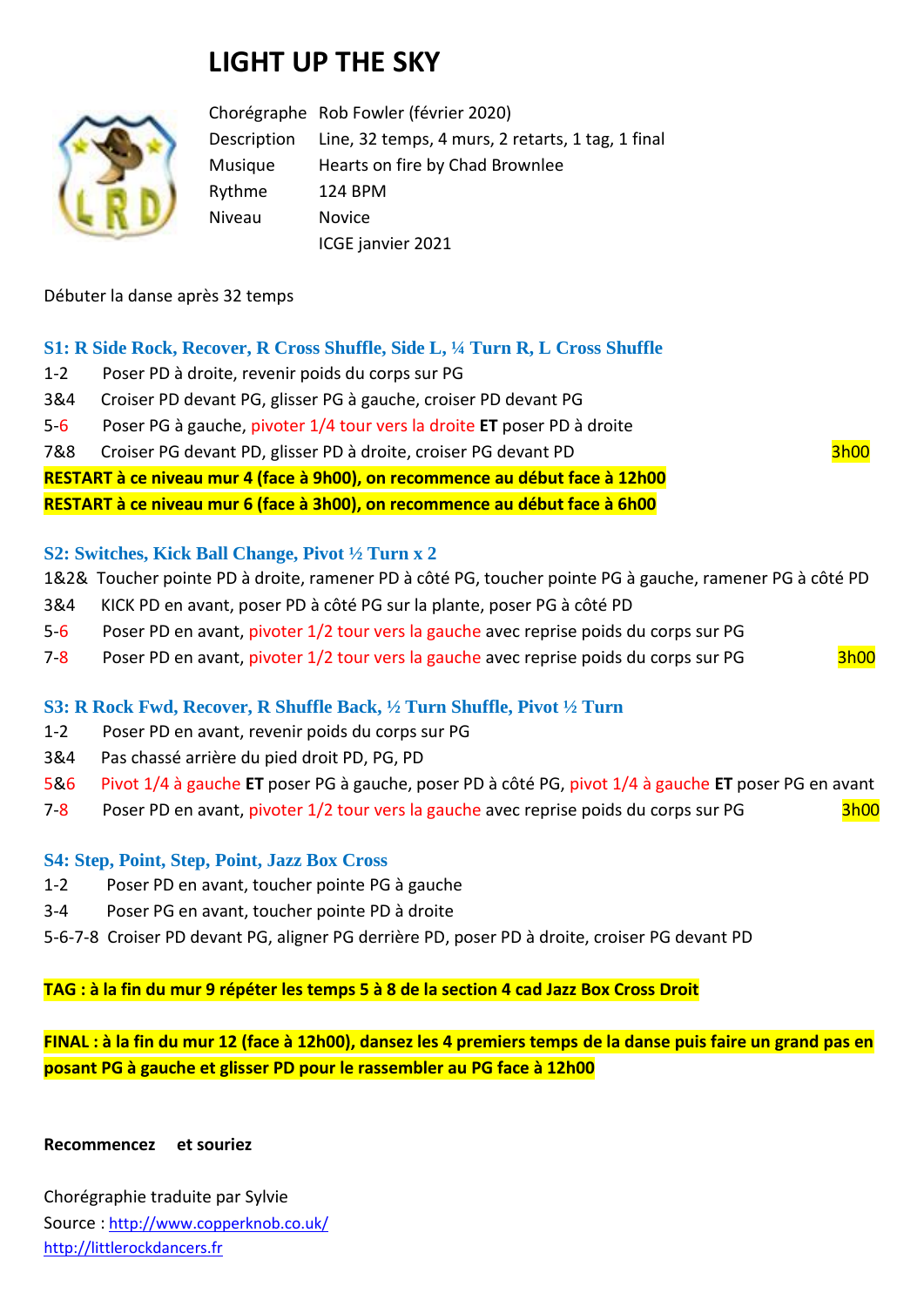# **LIGHT UP THE SKY**



Chorégraphe Rob Fowler (février 2020) Description Line, 32 temps, 4 murs, 2 retarts, 1 tag, 1 final Musique Hearts on fire by Chad Brownlee Rythme 124 BPM Niveau Novice ICGE janvier 2021

## Débuter la danse après 32 temps

# **S1: R Side Rock, Recover, R Cross Shuffle, Side L, ¼ Turn R, L Cross Shuffle**

- 1-2 Poser PD à droite, revenir poids du corps sur PG
- 3&4 Croiser PD devant PG, glisser PG à gauche, croiser PD devant PG
- 5-6 Poser PG à gauche, pivoter 1/4 tour vers la droite **ET** poser PD à droite
- 7&8 Croiser PG devant PD, glisser PD à droite, croiser PG devant PD 3h00

**RESTART à ce niveau mur 4 (face à 9h00), on recommence au début face à 12h00**

**RESTART à ce niveau mur 6 (face à 3h00), on recommence au début face à 6h00**

## **S2: Switches, Kick Ball Change, Pivot ½ Turn x 2**

- 1&2& Toucher pointe PD à droite, ramener PD à côté PG, toucher pointe PG à gauche, ramener PG à côté PD
- 3&4 KICK PD en avant, poser PD à côté PG sur la plante, poser PG à côté PD
- 5-6 Poser PD en avant, pivoter 1/2 tour vers la gauche avec reprise poids du corps sur PG
- 7-8 Poser PD en avant, pivoter 1/2 tour vers la gauche avec reprise poids du corps sur PG 3h00

# **S3: R Rock Fwd, Recover, R Shuffle Back, ½ Turn Shuffle, Pivot ½ Turn**

- 1-2 Poser PD en avant, revenir poids du corps sur PG
- 3&4 Pas chassé arrière du pied droit PD, PG, PD
- 5&6 Pivot 1/4 à gauche **ET** poser PG à gauche, poser PD à côté PG, pivot 1/4 à gauche **ET** poser PG en avant
- 7-8 Poser PD en avant, pivoter 1/2 tour vers la gauche avec reprise poids du corps sur PG 3h00

# **S4: Step, Point, Step, Point, Jazz Box Cross**

- 1-2 Poser PD en avant, toucher pointe PG à gauche
- 3-4 Poser PG en avant, toucher pointe PD à droite
- 5-6-7-8 Croiser PD devant PG, aligner PG derrière PD, poser PD à droite, croiser PG devant PD

#### **TAG : à la fin du mur 9 répéter les temps 5 à 8 de la section 4 cad Jazz Box Cross Droit**

**FINAL : à la fin du mur 12 (face à 12h00), dansez les 4 premiers temps de la danse puis faire un grand pas en posant PG à gauche et glisser PD pour le rassembler au PG face à 12h00**

#### **Recommencez et souriez**

Chorégraphie traduite par Sylvie Source : [http://www.copperknob.co.uk/](https://www.copperknob.co.uk/)  [http://littlerockdancers.fr](http://littlerockdancers.fr/)